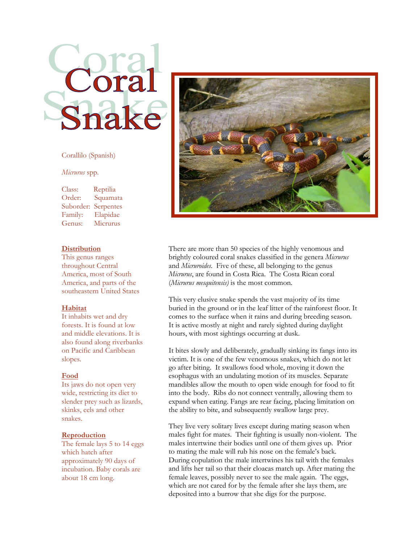

# Corallilo (Spanish)

#### *Micrurus* spp.

Class: Reptilia Order: Squamata Suborder: Serpentes Family: Elapidae Genus: Micrurus

## **Distribution**

This genus ranges throughout Central America, most of South America, and parts of the southeastern United States

#### **Habitat**

It inhabits wet and dry forests. It is found at low and middle elevations. It is also found along riverbanks on Pacific and Caribbean slopes.

#### **Food**

Its jaws do not open very wide, restricting its diet to slender prey such as lizards, skinks, eels and other snakes.

#### **Reproduction**

The female lays 5 to 14 eggs which hatch after approximately 90 days of incubation. Baby corals are about 18 cm long.



There are more than 50 species of the highly venomous and brightly coloured coral snakes classified in the genera *Micrurus* and *Micruroides*. Five of these, all belonging to the genus *Micrurus*, are found in Costa Rica. The Costa Rican coral (*Micrurus mesquitensis)* is the most common.

This very elusive snake spends the vast majority of its time buried in the ground or in the leaf litter of the [rainforest](http://en.wikipedia.org/wiki/Rainforest) floor. It comes to the surface when it rains and during breeding season*.*  It is active mostly at night and rarely sighted during daylight hours, with most sightings occurring at dusk.

It bites slowly and deliberately, gradually sinking its fangs into its victim. It is one of the few venomous snakes, which do not let go after biting. It swallows food whole, moving it down the esophagus with an undulating motion of its muscles. Separate mandibles allow the mouth to open wide enough for food to fit into the body. Ribs do not connect ventrally, allowing them to expand when eating. Fangs are rear facing, placing limitation on the ability to bite, and subsequently swallow large prey.

They live very solitary lives except during mating season when males fight for mates. Their fighting is usually non-violent. The males intertwine their bodies until one of them gives up. Prior to mating the male will rub his nose on the female's back. During copulation the male intertwines his tail with the females and lifts her tail so that their cloacas match up. After mating the female leaves, possibly never to see the male again. The eggs, which are not cared for by the female after she lays them, are deposited into a burrow that she digs for the purpose.